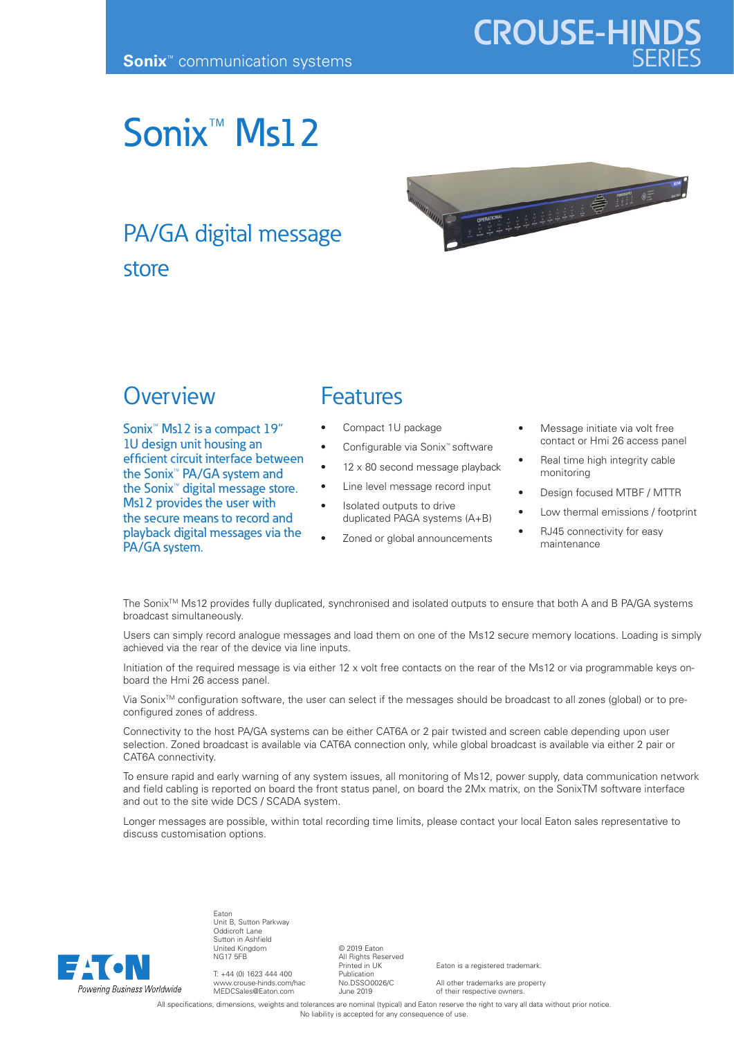# Sonix<sup>™</sup> Msl 2

## PA/GA digital message store



### **Overview**

Sonix™ Ms12 is a compact 19" 1U design unit housing an efficient circuit interface between the Sonix™ PA/GA system and the Sonix™ digital message store. Ms12 provides the user with the secure means to record and playback digital messages via the PA/GA system.

#### Features

- Compact 1U package
	- Configurable via Sonix™ software
- $12 \times 80$  second message playback
- Line level message record input
- Isolated outputs to drive duplicated PAGA systems (A+B)
- Zoned or global announcements
- Message initiate via volt free contact or Hmi 26 access panel
- Real time high integrity cable monitoring
- Design focused MTBF / MTTR
- Low thermal emissions / footprint
- RJ45 connectivity for easy maintenance

The Sonix<sup>™</sup> Ms12 provides fully duplicated, synchronised and isolated outputs to ensure that both A and B PA/GA systems broadcast simultaneously.

Users can simply record analogue messages and load them on one of the Ms12 secure memory locations. Loading is simply achieved via the rear of the device via line inputs.

Initiation of the required message is via either 12 x volt free contacts on the rear of the Ms12 or via programmable keys onboard the Hmi 26 access panel.

Via Sonix<sup>TM</sup> configuration software, the user can select if the messages should be broadcast to all zones (global) or to preconfigured zones of address.

Connectivity to the host PA/GA systems can be either CAT6A or 2 pair twisted and screen cable depending upon user selection. Zoned broadcast is available via CAT6A connection only, while global broadcast is available via either 2 pair or CAT6A connectivity.

To ensure rapid and early warning of any system issues, all monitoring of Ms12, power supply, data communication network and field cabling is reported on board the front status panel, on board the 2Mx matrix, on the SonixTM software interface and out to the site wide DCS / SCADA system.

Longer messages are possible, within total recording time limits, please contact your local Eaton sales representative to discuss customisation options.



T: +44 (0) 1623 444 400 www.crouse-hinds.com/hac MEDCSales@Eaton.com

Unit B, Sutton Parkway Oddicroft Lane Sutton in Ashfield United Kingdom NG17 5FB

Eaton

© 2019 Eaton All Rights Reserved Printed in UK Publication No.DSSO0026/C June 2019

Eaton is a registered trademark.

All other trademarks are property of their respective owners.

All specifications, dimensions, weights and tolerances are nominal (typical) and Eaton reserve the right to vary all data without prior notice. No liability is accepted for any consequence of use.